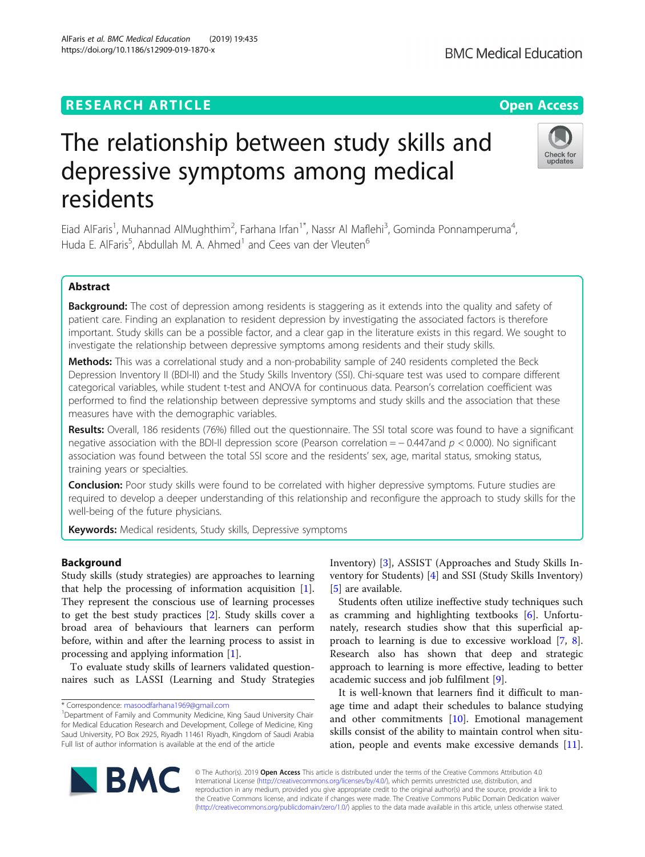# **RESEARCH ARTICLE Example 2014 CONSIDERING A RESEARCH ARTICLE**

# The relationship between study skills and depressive symptoms among medical residents

Eiad AlFaris<sup>1</sup>, Muhannad AlMughthim<sup>2</sup>, Farhana Irfan<sup>1\*</sup>, Nassr Al Maflehi<sup>3</sup>, Gominda Ponnamperuma<sup>4</sup> , Huda E. AlFaris<sup>5</sup>, Abdullah M. A. Ahmed<sup>1</sup> and Cees van der Vleuten<sup>6</sup>

# Abstract

Background: The cost of depression among residents is staggering as it extends into the quality and safety of patient care. Finding an explanation to resident depression by investigating the associated factors is therefore important. Study skills can be a possible factor, and a clear gap in the literature exists in this regard. We sought to investigate the relationship between depressive symptoms among residents and their study skills.

Methods: This was a correlational study and a non-probability sample of 240 residents completed the Beck Depression Inventory II (BDI-II) and the Study Skills Inventory (SSI). Chi-square test was used to compare different categorical variables, while student t-test and ANOVA for continuous data. Pearson's correlation coefficient was performed to find the relationship between depressive symptoms and study skills and the association that these measures have with the demographic variables.

Results: Overall, 186 residents (76%) filled out the questionnaire. The SSI total score was found to have a significant negative association with the BDI-II depression score (Pearson correlation =  $-0.447$  and  $p < 0.000$ ). No significant association was found between the total SSI score and the residents' sex, age, marital status, smoking status, training years or specialties.

**Conclusion:** Poor study skills were found to be correlated with higher depressive symptoms. Future studies are required to develop a deeper understanding of this relationship and reconfigure the approach to study skills for the well-being of the future physicians.

Keywords: Medical residents, Study skills, Depressive symptoms

# Background

Study skills (study strategies) are approaches to learning that help the processing of information acquisition [\[1](#page-7-0)]. They represent the conscious use of learning processes to get the best study practices [\[2](#page-7-0)]. Study skills cover a broad area of behaviours that learners can perform before, within and after the learning process to assist in processing and applying information [[1\]](#page-7-0).

To evaluate study skills of learners validated questionnaires such as LASSI (Learning and Study Strategies

\* Correspondence: [masoodfarhana1969@gmail.com](mailto:masoodfarhana1969@gmail.com) <sup>1</sup>

**BMC** 

Inventory) [[3\]](#page-7-0), ASSIST (Approaches and Study Skills Inventory for Students) [[4](#page-7-0)] and SSI (Study Skills Inventory) [[5\]](#page-7-0) are available.

Students often utilize ineffective study techniques such as cramming and highlighting textbooks [[6\]](#page-7-0). Unfortunately, research studies show that this superficial approach to learning is due to excessive workload [[7,](#page-7-0) [8](#page-7-0)]. Research also has shown that deep and strategic approach to learning is more effective, leading to better academic success and job fulfilment [[9\]](#page-7-0).

It is well-known that learners find it difficult to manage time and adapt their schedules to balance studying and other commitments [[10\]](#page-7-0). Emotional management skills consist of the ability to maintain control when situation, people and events make excessive demands [\[11](#page-7-0)].

© The Author(s). 2019 **Open Access** This article is distributed under the terms of the Creative Commons Attribution 4.0 International License [\(http://creativecommons.org/licenses/by/4.0/](http://creativecommons.org/licenses/by/4.0/)), which permits unrestricted use, distribution, and reproduction in any medium, provided you give appropriate credit to the original author(s) and the source, provide a link to the Creative Commons license, and indicate if changes were made. The Creative Commons Public Domain Dedication waiver [\(http://creativecommons.org/publicdomain/zero/1.0/](http://creativecommons.org/publicdomain/zero/1.0/)) applies to the data made available in this article, unless otherwise stated.







<sup>&</sup>lt;sup>1</sup>Department of Family and Community Medicine, King Saud University Chair for Medical Education Research and Development, College of Medicine, King Saud University, PO Box 2925, Riyadh 11461 Riyadh, Kingdom of Saudi Arabia Full list of author information is available at the end of the article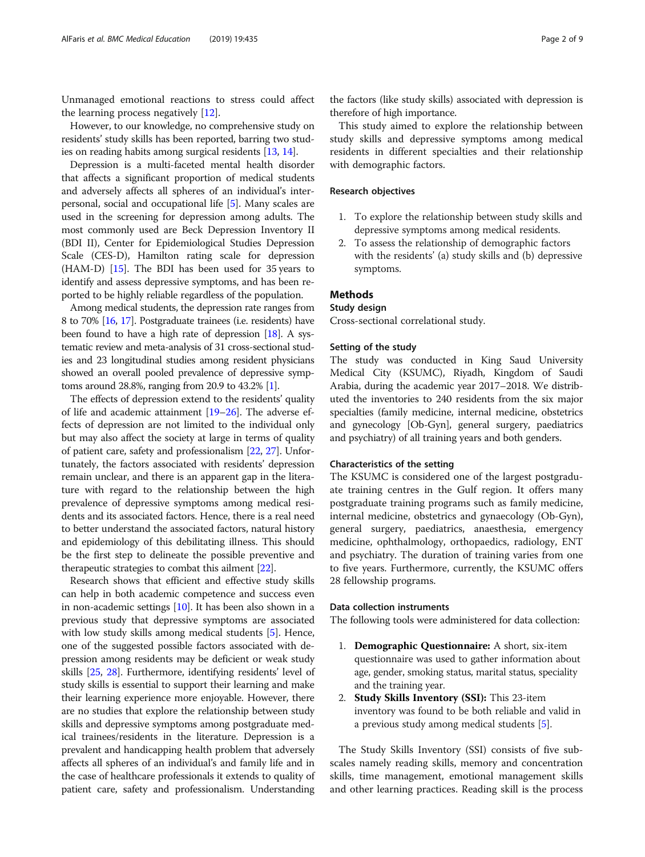Unmanaged emotional reactions to stress could affect the learning process negatively  $[12]$  $[12]$  $[12]$ .

However, to our knowledge, no comprehensive study on residents' study skills has been reported, barring two studies on reading habits among surgical residents [\[13,](#page-7-0) [14](#page-7-0)].

Depression is a multi-faceted mental health disorder that affects a significant proportion of medical students and adversely affects all spheres of an individual's interpersonal, social and occupational life [\[5](#page-7-0)]. Many scales are used in the screening for depression among adults. The most commonly used are Beck Depression Inventory II (BDI II), Center for Epidemiological Studies Depression Scale (CES-D), Hamilton rating scale for depression (HAM-D) [\[15](#page-7-0)]. The BDI has been used for 35 years to identify and assess depressive symptoms, and has been reported to be highly reliable regardless of the population.

Among medical students, the depression rate ranges from 8 to 70% [\[16,](#page-7-0) [17\]](#page-7-0). Postgraduate trainees (i.e. residents) have been found to have a high rate of depression [\[18](#page-7-0)]. A systematic review and meta-analysis of 31 cross-sectional studies and 23 longitudinal studies among resident physicians showed an overall pooled prevalence of depressive symptoms around 28.8%, ranging from 20.9 to 43.2% [\[1](#page-7-0)].

The effects of depression extend to the residents' quality of life and academic attainment [\[19](#page-7-0)–[26](#page-8-0)]. The adverse effects of depression are not limited to the individual only but may also affect the society at large in terms of quality of patient care, safety and professionalism [[22](#page-7-0), [27](#page-8-0)]. Unfortunately, the factors associated with residents' depression remain unclear, and there is an apparent gap in the literature with regard to the relationship between the high prevalence of depressive symptoms among medical residents and its associated factors. Hence, there is a real need to better understand the associated factors, natural history and epidemiology of this debilitating illness. This should be the first step to delineate the possible preventive and therapeutic strategies to combat this ailment [\[22\]](#page-7-0).

Research shows that efficient and effective study skills can help in both academic competence and success even in non-academic settings [\[10\]](#page-7-0). It has been also shown in a previous study that depressive symptoms are associated with low study skills among medical students [\[5](#page-7-0)]. Hence, one of the suggested possible factors associated with depression among residents may be deficient or weak study skills [\[25,](#page-7-0) [28](#page-8-0)]. Furthermore, identifying residents' level of study skills is essential to support their learning and make their learning experience more enjoyable. However, there are no studies that explore the relationship between study skills and depressive symptoms among postgraduate medical trainees/residents in the literature. Depression is a prevalent and handicapping health problem that adversely affects all spheres of an individual's and family life and in the case of healthcare professionals it extends to quality of patient care, safety and professionalism. Understanding the factors (like study skills) associated with depression is therefore of high importance.

This study aimed to explore the relationship between study skills and depressive symptoms among medical residents in different specialties and their relationship with demographic factors.

# Research objectives

- 1. To explore the relationship between study skills and depressive symptoms among medical residents.
- 2. To assess the relationship of demographic factors with the residents' (a) study skills and (b) depressive symptoms.

# **Methods**

# Study design

Cross-sectional correlational study.

# Setting of the study

The study was conducted in King Saud University Medical City (KSUMC), Riyadh, Kingdom of Saudi Arabia, during the academic year 2017–2018. We distributed the inventories to 240 residents from the six major specialties (family medicine, internal medicine, obstetrics and gynecology [Ob-Gyn], general surgery, paediatrics and psychiatry) of all training years and both genders.

# Characteristics of the setting

The KSUMC is considered one of the largest postgraduate training centres in the Gulf region. It offers many postgraduate training programs such as family medicine, internal medicine, obstetrics and gynaecology (Ob-Gyn), general surgery, paediatrics, anaesthesia, emergency medicine, ophthalmology, orthopaedics, radiology, ENT and psychiatry. The duration of training varies from one to five years. Furthermore, currently, the KSUMC offers 28 fellowship programs.

#### Data collection instruments

The following tools were administered for data collection:

- 1. Demographic Questionnaire: A short, six-item questionnaire was used to gather information about age, gender, smoking status, marital status, speciality and the training year.
- 2. Study Skills Inventory (SSI): This 23-item inventory was found to be both reliable and valid in a previous study among medical students [[5\]](#page-7-0).

The Study Skills Inventory (SSI) consists of five subscales namely reading skills, memory and concentration skills, time management, emotional management skills and other learning practices. Reading skill is the process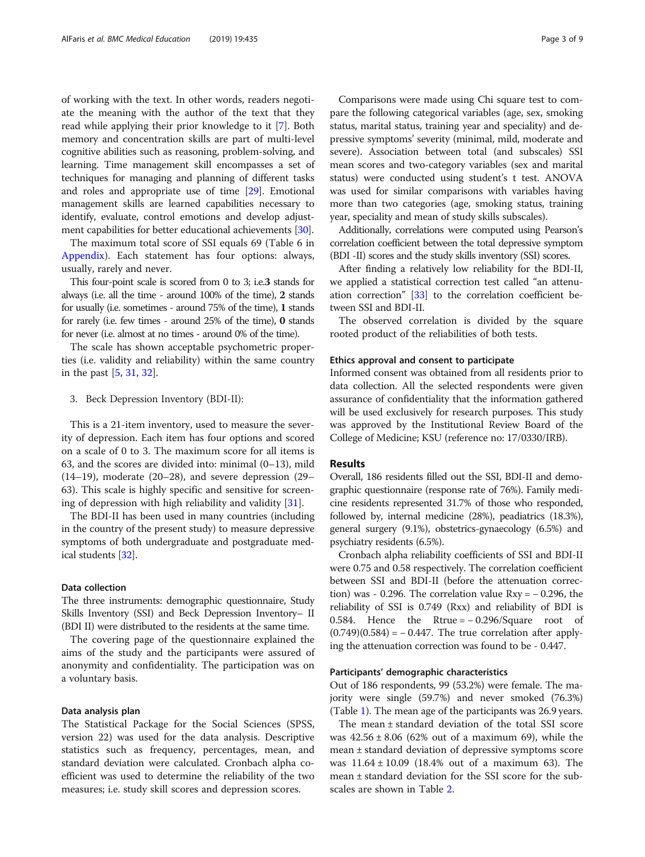of working with the text. In other words, readers negotiate the meaning with the author of the text that they read while applying their prior knowledge to it [[7](#page-7-0)]. Both memory and concentration skills are part of multi-level cognitive abilities such as reasoning, problem-solving, and learning. Time management skill encompasses a set of techniques for managing and planning of different tasks and roles and appropriate use of time [\[29\]](#page-8-0). Emotional management skills are learned capabilities necessary to identify, evaluate, control emotions and develop adjustment capabilities for better educational achievements [\[30\]](#page-8-0).

The maximum total score of SSI equals 69 (Table 6 in [Appendix](#page-6-0)). Each statement has four options: always, usually, rarely and never.

This four-point scale is scored from 0 to 3; i.e.3 stands for always (i.e. all the time - around 100% of the time), 2 stands for usually (i.e. sometimes - around 75% of the time), 1 stands for rarely (i.e. few times - around 25% of the time), 0 stands for never (i.e. almost at no times - around 0% of the time).

The scale has shown acceptable psychometric properties (i.e. validity and reliability) within the same country in the past [\[5](#page-7-0), [31,](#page-8-0) [32\]](#page-8-0).

3. Beck Depression Inventory (BDI-II):

This is a 21-item inventory, used to measure the severity of depression. Each item has four options and scored on a scale of 0 to 3. The maximum score for all items is 63, and the scores are divided into: minimal (0–13), mild (14–19), moderate (20–28), and severe depression (29– 63). This scale is highly specific and sensitive for screening of depression with high reliability and validity [[31\]](#page-8-0).

The BDI-II has been used in many countries (including in the country of the present study) to measure depressive symptoms of both undergraduate and postgraduate medical students [\[32\]](#page-8-0).

#### Data collection

The three instruments: demographic questionnaire, Study Skills Inventory (SSI) and Beck Depression Inventory– II (BDI II) were distributed to the residents at the same time.

The covering page of the questionnaire explained the aims of the study and the participants were assured of anonymity and confidentiality. The participation was on a voluntary basis.

# Data analysis plan

The Statistical Package for the Social Sciences (SPSS, version 22) was used for the data analysis. Descriptive statistics such as frequency, percentages, mean, and standard deviation were calculated. Cronbach alpha coefficient was used to determine the reliability of the two measures; i.e. study skill scores and depression scores.

Comparisons were made using Chi square test to compare the following categorical variables (age, sex, smoking status, marital status, training year and speciality) and depressive symptoms' severity (minimal, mild, moderate and severe). Association between total (and subscales) SSI mean scores and two-category variables (sex and marital status) were conducted using student's t test. ANOVA was used for similar comparisons with variables having more than two categories (age, smoking status, training year, speciality and mean of study skills subscales).

Additionally, correlations were computed using Pearson's correlation coefficient between the total depressive symptom (BDI -II) scores and the study skills inventory (SSI) scores.

After finding a relatively low reliability for the BDI-II, we applied a statistical correction test called "an attenuation correction" [[33](#page-8-0)] to the correlation coefficient between SSI and BDI-II.

The observed correlation is divided by the square rooted product of the reliabilities of both tests.

### Ethics approval and consent to participate

Informed consent was obtained from all residents prior to data collection. All the selected respondents were given assurance of confidentiality that the information gathered will be used exclusively for research purposes. This study was approved by the Institutional Review Board of the College of Medicine; KSU (reference no: 17/0330/IRB).

# Results

Overall, 186 residents filled out the SSI, BDI-II and demographic questionnaire (response rate of 76%). Family medicine residents represented 31.7% of those who responded, followed by, internal medicine (28%), peadiatrics (18.3%), general surgery (9.1%), obstetrics-gynaecology (6.5%) and psychiatry residents (6.5%).

Cronbach alpha reliability coefficients of SSI and BDI-II were 0.75 and 0.58 respectively. The correlation coefficient between SSI and BDI-II (before the attenuation correction) was - 0.296. The correlation value  $Rxy = -0.296$ , the reliability of SSI is 0.749 (Rxx) and reliability of BDI is 0.584. Hence the Rtrue = − 0.296/Square root of  $(0.749)(0.584) = -0.447$ . The true correlation after applying the attenuation correction was found to be - 0.447.

#### Participants' demographic characteristics

Out of 186 respondents, 99 (53.2%) were female. The majority were single (59.7%) and never smoked (76.3%) (Table [1\)](#page-3-0). The mean age of the participants was 26.9 years.

The mean ± standard deviation of the total SSI score was  $42.56 \pm 8.06$  (62% out of a maximum 69), while the mean ± standard deviation of depressive symptoms score was  $11.64 \pm 10.09$  (18.4% out of a maximum 63). The mean ± standard deviation for the SSI score for the subscales are shown in Table [2.](#page-4-0)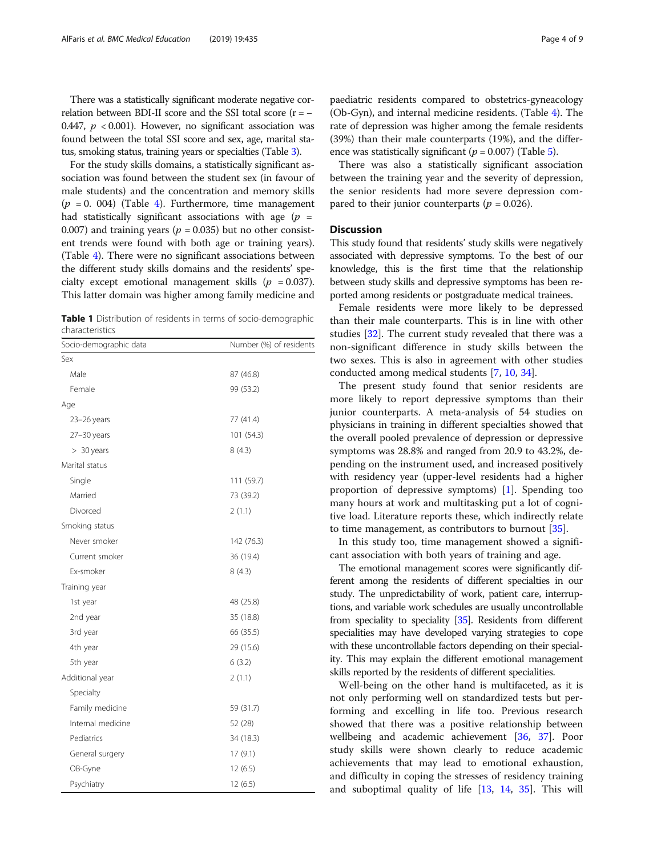<span id="page-3-0"></span>There was a statistically significant moderate negative correlation between BDI-II score and the SSI total score  $(r = -$ 0.447,  $p < 0.001$ ). However, no significant association was found between the total SSI score and sex, age, marital status, smoking status, training years or specialties (Table [3\)](#page-4-0).

For the study skills domains, a statistically significant association was found between the student sex (in favour of male students) and the concentration and memory skills  $(p = 0.004)$  $(p = 0.004)$  $(p = 0.004)$  (Table 4). Furthermore, time management had statistically significant associations with age  $(p =$ 0.007) and training years ( $p = 0.035$ ) but no other consistent trends were found with both age or training years). (Table [4\)](#page-5-0). There were no significant associations between the different study skills domains and the residents' specialty except emotional management skills ( $p = 0.037$ ). This latter domain was higher among family medicine and

Table 1 Distribution of residents in terms of socio-demographic characteristics

| Socio-demographic data | Number (%) of residents |
|------------------------|-------------------------|
| Sex                    |                         |
| Male                   | 87 (46.8)               |
| Female                 | 99 (53.2)               |
| Age                    |                         |
| 23-26 years            | 77 (41.4)               |
| 27-30 years            | 101 (54.3)              |
| $> 30$ years           | 8(4.3)                  |
| Marital status         |                         |
| Single                 | 111 (59.7)              |
| Married                | 73 (39.2)               |
| Divorced               | 2(1.1)                  |
| Smoking status         |                         |
| Never smoker           | 142 (76.3)              |
| Current smoker         | 36 (19.4)               |
| Ex-smoker              | 8(4.3)                  |
| Training year          |                         |
| 1st year               | 48 (25.8)               |
| 2nd year               | 35 (18.8)               |
| 3rd year               | 66 (35.5)               |
| 4th year               | 29 (15.6)               |
| 5th year               | 6(3.2)                  |
| Additional year        | 2(1.1)                  |
| Specialty              |                         |
| Family medicine        | 59 (31.7)               |
| Internal medicine      | 52 (28)                 |
| Pediatrics             | 34 (18.3)               |
| General surgery        | 17(9.1)                 |
| OB-Gyne                | 12(6.5)                 |
| Psychiatry             | 12(6.5)                 |

paediatric residents compared to obstetrics-gyneacology (Ob-Gyn), and internal medicine residents. (Table [4](#page-5-0)). The rate of depression was higher among the female residents (39%) than their male counterparts (19%), and the difference was statistically significant ( $p = 0.007$ ) (Table [5\)](#page-5-0).

There was also a statistically significant association between the training year and the severity of depression, the senior residents had more severe depression compared to their junior counterparts ( $p = 0.026$ ).

# **Discussion**

This study found that residents' study skills were negatively associated with depressive symptoms. To the best of our knowledge, this is the first time that the relationship between study skills and depressive symptoms has been reported among residents or postgraduate medical trainees.

Female residents were more likely to be depressed than their male counterparts. This is in line with other studies [\[32](#page-8-0)]. The current study revealed that there was a non-significant difference in study skills between the two sexes. This is also in agreement with other studies conducted among medical students [\[7,](#page-7-0) [10,](#page-7-0) [34\]](#page-8-0).

The present study found that senior residents are more likely to report depressive symptoms than their junior counterparts. A meta-analysis of 54 studies on physicians in training in different specialties showed that the overall pooled prevalence of depression or depressive symptoms was 28.8% and ranged from 20.9 to 43.2%, depending on the instrument used, and increased positively with residency year (upper-level residents had a higher proportion of depressive symptoms) [\[1\]](#page-7-0). Spending too many hours at work and multitasking put a lot of cognitive load. Literature reports these, which indirectly relate to time management, as contributors to burnout [[35\]](#page-8-0).

In this study too, time management showed a significant association with both years of training and age.

The emotional management scores were significantly different among the residents of different specialties in our study. The unpredictability of work, patient care, interruptions, and variable work schedules are usually uncontrollable from speciality to speciality [[35\]](#page-8-0). Residents from different specialities may have developed varying strategies to cope with these uncontrollable factors depending on their speciality. This may explain the different emotional management skills reported by the residents of different specialities.

Well-being on the other hand is multifaceted, as it is not only performing well on standardized tests but performing and excelling in life too. Previous research showed that there was a positive relationship between wellbeing and academic achievement [\[36](#page-8-0), [37\]](#page-8-0). Poor study skills were shown clearly to reduce academic achievements that may lead to emotional exhaustion, and difficulty in coping the stresses of residency training and suboptimal quality of life [\[13](#page-7-0), [14,](#page-7-0) [35](#page-8-0)]. This will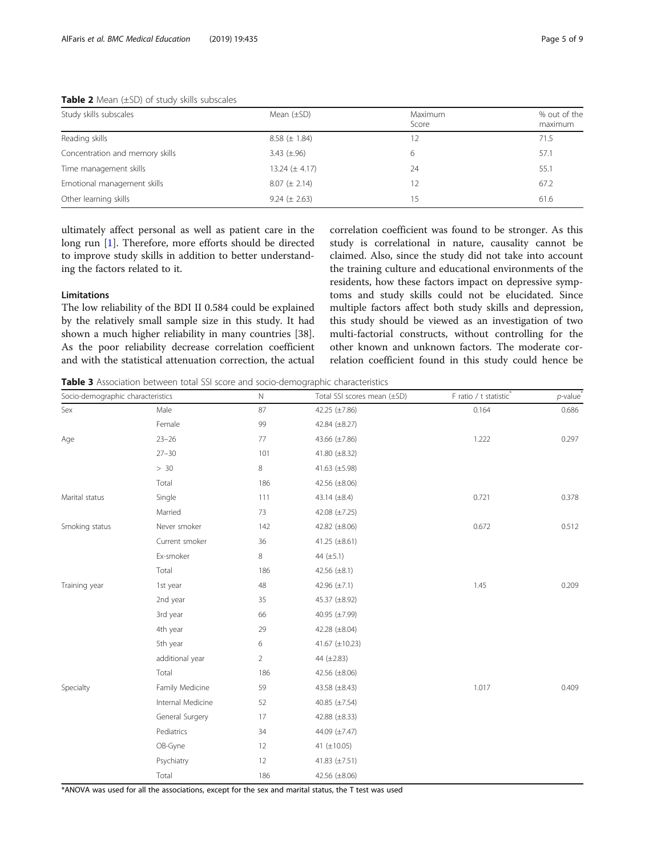| Study skills subscales          | Mean $(\pm SD)$    | Maximum<br>Score | % out of the<br>maximum |
|---------------------------------|--------------------|------------------|-------------------------|
| Reading skills                  | $8.58 (\pm 1.84)$  | 12               | 71.5                    |
| Concentration and memory skills | $3.43 \ (\pm .96)$ | 6                | 57.1                    |
| Time management skills          | 13.24 $(\pm 4.17)$ | 24               | 55.1                    |
| Emotional management skills     | $8.07 (\pm 2.14)$  | 12               | 67.2                    |
| Other learning skills           | $9.24 (\pm 2.63)$  | 15               | 61.6                    |

# <span id="page-4-0"></span>**Table 2** Mean  $(\pm SD)$  of study skills subscales

ultimately affect personal as well as patient care in the long run [\[1](#page-7-0)]. Therefore, more efforts should be directed to improve study skills in addition to better understanding the factors related to it.

### Limitations

The low reliability of the BDI II 0.584 could be explained by the relatively small sample size in this study. It had shown a much higher reliability in many countries [38]. As the poor reliability decrease correlation coefficient and with the statistical attenuation correction, the actual correlation coefficient was found to be stronger. As this study is correlational in nature, causality cannot be claimed. Also, since the study did not take into account the training culture and educational environments of the residents, how these factors impact on depressive symptoms and study skills could not be elucidated. Since multiple factors affect both study skills and depression, this study should be viewed as an investigation of two multi-factorial constructs, without controlling for the other known and unknown factors. The moderate correlation coefficient found in this study could hence be

Table 3 Association between total SSI score and socio-demographic characteristics

| Socio-demographic characteristics |                   | $\mathbb N$    | Total SSI scores mean (±SD) | F ratio / t statistic® | $p$ -value |
|-----------------------------------|-------------------|----------------|-----------------------------|------------------------|------------|
| Sex                               | Male              | 87             | 42.25 (±7.86)               | 0.164                  | 0.686      |
|                                   | Female            | 99             | 42.84 (±8.27)               |                        |            |
| Age                               | $23 - 26$         | 77             | 43.66 (±7.86)               | 1.222                  | 0.297      |
|                                   | $27 - 30$         | 101            | 41.80 $(\pm 8.32)$          |                        |            |
|                                   | > 30              | $\,8\,$        | 41.63 $(\pm 5.98)$          |                        |            |
|                                   | Total             | 186            | 42.56 $(\pm 8.06)$          |                        |            |
| Marital status                    | Single            | 111            | 43.14 $(\pm 8.4)$           | 0.721                  | 0.378      |
|                                   | Married           | 73             | 42.08 $(\pm 7.25)$          |                        |            |
| Smoking status                    | Never smoker      | 142            | 42.82 $(\pm 8.06)$          | 0.672                  | 0.512      |
|                                   | Current smoker    | 36             | 41.25 $(\pm 8.61)$          |                        |            |
|                                   | Ex-smoker         | 8              | 44 $(\pm 5.1)$              |                        |            |
|                                   | Total             | 186            | 42.56 $(\pm 8.1)$           |                        |            |
| Training year                     | 1st year          | 48             | 42.96 (±7.1)                | 1.45                   | 0.209      |
|                                   | 2nd year          | 35             | 45.37 (±8.92)               |                        |            |
|                                   | 3rd year          | 66             | 40.95 (±7.99)               |                        |            |
|                                   | 4th year          | 29             | 42.28 (±8.04)               |                        |            |
|                                   | 5th year          | 6              | 41.67 (±10.23)              |                        |            |
|                                   | additional year   | $\overline{2}$ | 44 (±2.83)                  |                        |            |
|                                   | Total             | 186            | 42.56 $(\pm 8.06)$          |                        |            |
| Specialty                         | Family Medicine   | 59             | 43.58 (±8.43)               | 1.017                  | 0.409      |
|                                   | Internal Medicine | 52             | 40.85 $(\pm 7.54)$          |                        |            |
|                                   | General Surgery   | 17             | 42.88 $(\pm 8.33)$          |                        |            |
|                                   | Pediatrics        | 34             | 44.09 (±7.47)               |                        |            |
|                                   | OB-Gyne           | 12             | 41 $(\pm 10.05)$            |                        |            |
|                                   | Psychiatry        | 12             | 41.83 $(\pm 7.51)$          |                        |            |
|                                   | Total             | 186            | 42.56 $(\pm 8.06)$          |                        |            |

\*ANOVA was used for all the associations, except for the sex and marital status, the T test was used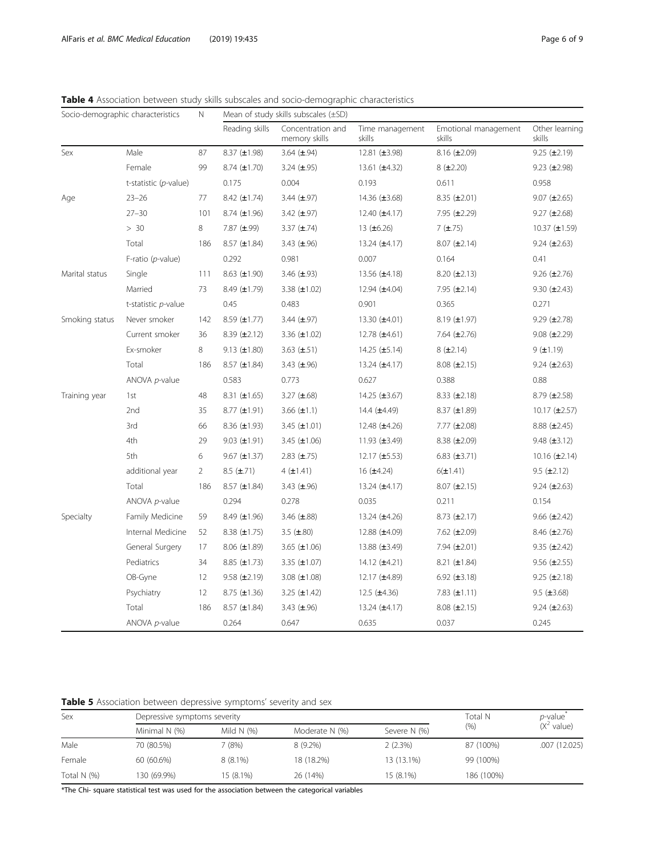<span id="page-5-0"></span>Table 4 Association between study skills subscales and socio-demographic characteristics

| Socio-demographic characteristics |                       | N              | Mean of study skills subscales $(\pm SD)$ |                                    |                           |                                |                          |  |
|-----------------------------------|-----------------------|----------------|-------------------------------------------|------------------------------------|---------------------------|--------------------------------|--------------------------|--|
|                                   |                       |                | Reading skills                            | Concentration and<br>memory skills | Time management<br>skills | Emotional management<br>skills | Other learning<br>skills |  |
| Sex                               | Male                  | 87             | $8.37 (\pm 1.98)$                         | 3.64 $(\pm .94)$                   | 12.81 (±3.98)             | $8.16 \ (\pm 2.09)$            | $9.25$ ( $\pm 2.19$ )    |  |
|                                   | Female                | 99             | 8.74 $(\pm 1.70)$                         | 3.24 $(\pm .95)$                   | 13.61 $(\pm 4.32)$        | $8$ ( $\pm 2.20$ )             | $9.23$ ( $\pm 2.98$ )    |  |
|                                   | t-statistic (p-value) |                | 0.175                                     | 0.004                              | 0.193                     | 0.611                          | 0.958                    |  |
| Age                               | $23 - 26$             | 77             | 8.42 $(\pm 1.74)$                         | 3.44 $(\pm .97)$                   | 14.36 (±3.68)             | 8.35 $(\pm 2.01)$              | 9.07 $(\pm 2.65)$        |  |
|                                   | $27 - 30$             | 101            | 8.74 $(\pm 1.96)$                         | 3.42 $(\pm .97)$                   | 12.40 $(\pm 4.17)$        | 7.95 $(\pm 2.29)$              | 9.27 $(\pm 2.68)$        |  |
|                                   | > 30                  | 8              | 7.87 $(\pm .99)$                          | 3.37 $(\pm .74)$                   | 13 $(\pm 6.26)$           | $7$ ( $\pm$ .75)               | $10.37 \ (\pm 1.59)$     |  |
|                                   | Total                 | 186            | $8.57$ ( $±1.84$ )                        | 3.43 $(\pm .96)$                   | 13.24 $(\pm 4.17)$        | $8.07$ ( $\pm 2.14$ )          | 9.24 $(\pm 2.63)$        |  |
|                                   | F-ratio (p-value)     |                | 0.292                                     | 0.981                              | 0.007                     | 0.164                          | 0.41                     |  |
| Marital status                    | Single                | 111            | 8.63 $(\pm 1.90)$                         | 3.46 $(\pm .93)$                   | 13.56 (±4.18)             | 8.20 $(\pm 2.13)$              | $9.26 \ (\pm 2.76)$      |  |
|                                   | Married               | 73             | 8.49 $(\pm 1.79)$                         | 3.38 $(\pm 1.02)$                  | 12.94 $(\pm 4.04)$        | 7.95 $(\pm 2.14)$              | $9.30 \ (\pm 2.43)$      |  |
|                                   | t-statistic p-value   |                | 0.45                                      | 0.483                              | 0.901                     | 0.365                          | 0.271                    |  |
| Smoking status                    | Never smoker          | 142            | 8.59 $(\pm 1.77)$                         | 3.44 $(\pm .97)$                   | 13.30 $(\pm 4.01)$        | $8.19$ ( $\pm 1.97$ )          | $9.29$ ( $\pm 2.78$ )    |  |
|                                   | Current smoker        | 36             | 8.39 $(\pm 2.12)$                         | 3.36 $(\pm 1.02)$                  | 12.78 (±4.61)             | 7.64 $(\pm 2.76)$              | $9.08 (\pm 2.29)$        |  |
|                                   | Ex-smoker             | 8              | 9.13 $(\pm 1.80)$                         | 3.63 $(\pm .51)$                   | 14.25 $(\pm 5.14)$        | $8$ ( $\pm 2.14$ )             | $9$ ( $\pm$ 1.19)        |  |
|                                   | Total                 | 186            | 8.57 $(\pm 1.84)$                         | 3.43 $(\pm .96)$                   | 13.24 $(\pm 4.17)$        | $8.08 \ (\pm 2.15)$            | 9.24 $(\pm 2.63)$        |  |
|                                   | ANOVA p-value         |                | 0.583                                     | 0.773                              | 0.627                     | 0.388                          | 0.88                     |  |
| Training year                     | 1st                   | 48             | 8.31 $(\pm 1.65)$                         | 3.27 $(\pm .68)$                   | 14.25 $(\pm 3.67)$        | $8.33$ ( $\pm 2.18$ )          | 8.79 $(\pm 2.58)$        |  |
|                                   | 2nd                   | 35             | 8.77 $(\pm 1.91)$                         | 3.66 $(\pm 1.1)$                   | 14.4 $(\pm 4.49)$         | $8.37$ ( $\pm 1.89$ )          | $10.17 \ (\pm 2.57)$     |  |
|                                   | 3rd                   | 66             | 8.36 $(\pm 1.93)$                         | $3.45 \ (\pm 1.01)$                | 12.48 (±4.26)             | 7.77 $(\pm 2.08)$              | 8.88 $(\pm 2.45)$        |  |
|                                   | 4th                   | 29             | 9.03 $(\pm 1.91)$                         | 3.45 $(\pm 1.06)$                  | 11.93 $(\pm 3.49)$        | 8.38 $(\pm 2.09)$              | $9.48 (\pm 3.12)$        |  |
|                                   | 5th                   | 6              | $9.67 \ (\pm 1.37)$                       | $2.83 \ (\pm .75)$                 | 12.17 $(\pm 5.53)$        | 6.83 $(\pm 3.71)$              | $10.16 \ (\pm 2.14)$     |  |
|                                   | additional year       | $\overline{2}$ | $8.5$ ( $\pm$ .71)                        | $4$ ( $\pm$ 1.41)                  | 16 $(±4.24)$              | $6(\pm 1.41)$                  | $9.5$ ( $\pm 2.12$ )     |  |
|                                   | Total                 | 186            | 8.57 $(\pm 1.84)$                         | 3.43 $(\pm .96)$                   | 13.24 $(\pm 4.17)$        | $8.07$ ( $\pm 2.15$ )          | $9.24 (\pm 2.63)$        |  |
|                                   | ANOVA p-value         |                | 0.294                                     | 0.278                              | 0.035                     | 0.211                          | 0.154                    |  |
| Specialty                         | Family Medicine       | 59             | 8.49 $(\pm 1.96)$                         | 3.46 $(\pm .88)$                   | 13.24 $(\pm 4.26)$        | 8.73 $(\pm 2.17)$              | $9.66 \ (\pm 2.42)$      |  |
|                                   | Internal Medicine     | 52             | 8.38 $(\pm 1.75)$                         | 3.5 $(\pm .80)$                    | 12.88 $(\pm 4.09)$        | 7.62 $(\pm 2.09)$              | 8.46 $(\pm 2.76)$        |  |
|                                   | General Surgery       | 17             | 8.06 $(\pm 1.89)$                         | 3.65 $(\pm 1.06)$                  | 13.88 $(\pm 3.49)$        | 7.94 $(\pm 2.01)$              | 9.35 $(\pm 2.42)$        |  |
|                                   | Pediatrics            | 34             | 8.85 $(\pm 1.73)$                         | 3.35 $(\pm 1.07)$                  | 14.12 $(\pm 4.21)$        | 8.21 $(\pm 1.84)$              | $9.56 \ (\pm 2.55)$      |  |
|                                   | OB-Gyne               | 12             | 9.58 $(\pm 2.19)$                         | 3.08 $(\pm 1.08)$                  | 12.17 $(\pm 4.89)$        | 6.92 $(\pm 3.18)$              | $9.25 \ (\pm 2.18)$      |  |
|                                   | Psychiatry            | 12             | $8.75$ ( $\pm$ 1.36)                      | 3.25 $(\pm 1.42)$                  | 12.5 $(\pm 4.36)$         | 7.83 $(\pm 1.11)$              | $9.5 \ (\pm 3.68)$       |  |
|                                   | Total                 | 186            | 8.57 $(\pm 1.84)$                         | 3.43 $(\pm .96)$                   | 13.24 $(\pm 4.17)$        | $8.08 (\pm 2.15)$              | 9.24 $(\pm 2.63)$        |  |
|                                   | ANOVA p-value         |                | 0.264                                     | 0.647                              | 0.635                     | 0.037                          | 0.245                    |  |

|  | Table 5 Association between depressive symptoms' severity and sex |  |  |  |  |  |
|--|-------------------------------------------------------------------|--|--|--|--|--|
|--|-------------------------------------------------------------------|--|--|--|--|--|

| Sex           | Depressive symptoms severity |               | Total N        | <i>p</i> -value <sup>®</sup> |            |                       |
|---------------|------------------------------|---------------|----------------|------------------------------|------------|-----------------------|
|               | Minimal N (%)                | Mild N $(% )$ | Moderate N (%) | Severe N (%)                 | (% )       | $(X^2 \text{ value})$ |
| Male          | 70 (80.5%)                   | 7 (8%)        | $8(9.2\%)$     | 2(2.3%)                      | 87 (100%)  | .007 (12.025)         |
| Female        | 60 (60.6%)                   | $8(8.1\%)$    | 18 (18.2%)     | 13 (13.1%)                   | 99 (100%)  |                       |
| Total $N$ (%) | 130 (69.9%)                  | 15 (8.1%)     | 26 (14%)       | 15 (8.1%)                    | 186 (100%) |                       |

\*The Chi- square statistical test was used for the association between the categorical variables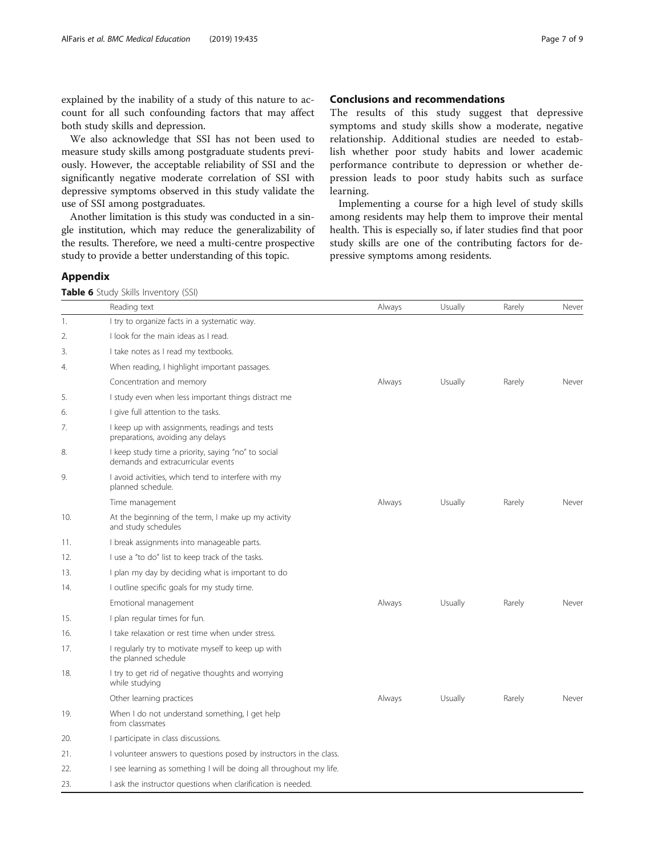<span id="page-6-0"></span>explained by the inability of a study of this nature to account for all such confounding factors that may affect both study skills and depression.

We also acknowledge that SSI has not been used to measure study skills among postgraduate students previously. However, the acceptable reliability of SSI and the significantly negative moderate correlation of SSI with depressive symptoms observed in this study validate the use of SSI among postgraduates.

Another limitation is this study was conducted in a single institution, which may reduce the generalizability of the results. Therefore, we need a multi-centre prospective study to provide a better understanding of this topic.

# Conclusions and recommendations

The results of this study suggest that depressive symptoms and study skills show a moderate, negative relationship. Additional studies are needed to establish whether poor study habits and lower academic performance contribute to depression or whether depression leads to poor study habits such as surface learning.

Implementing a course for a high level of study skills among residents may help them to improve their mental health. This is especially so, if later studies find that poor study skills are one of the contributing factors for depressive symptoms among residents.

# Appendix

Table 6 Study Skills Inventory (SSI)

|     | Reading text                                                                              | Always | Usually | Rarely | Never |
|-----|-------------------------------------------------------------------------------------------|--------|---------|--------|-------|
| 1.  | I try to organize facts in a systematic way.                                              |        |         |        |       |
| 2.  | I look for the main ideas as I read.                                                      |        |         |        |       |
| 3.  | I take notes as I read my textbooks.                                                      |        |         |        |       |
| 4.  | When reading, I highlight important passages.                                             |        |         |        |       |
|     | Concentration and memory                                                                  | Always | Usually | Rarely | Never |
| 5.  | I study even when less important things distract me                                       |        |         |        |       |
| 6.  | I give full attention to the tasks.                                                       |        |         |        |       |
| 7.  | I keep up with assignments, readings and tests<br>preparations, avoiding any delays       |        |         |        |       |
| 8.  | I keep study time a priority, saying "no" to social<br>demands and extracurricular events |        |         |        |       |
| 9.  | I avoid activities, which tend to interfere with my<br>planned schedule.                  |        |         |        |       |
|     | Time management                                                                           | Always | Usually | Rarely | Never |
| 10. | At the beginning of the term, I make up my activity<br>and study schedules                |        |         |        |       |
| 11. | I break assignments into manageable parts.                                                |        |         |        |       |
| 12. | I use a "to do" list to keep track of the tasks.                                          |        |         |        |       |
| 13. | I plan my day by deciding what is important to do                                         |        |         |        |       |
| 14. | I outline specific goals for my study time.                                               |        |         |        |       |
|     | Emotional management                                                                      | Always | Usually | Rarely | Never |
| 15. | I plan regular times for fun.                                                             |        |         |        |       |
| 16. | I take relaxation or rest time when under stress.                                         |        |         |        |       |
| 17. | I regularly try to motivate myself to keep up with<br>the planned schedule                |        |         |        |       |
| 18. | I try to get rid of negative thoughts and worrying<br>while studying                      |        |         |        |       |
|     | Other learning practices                                                                  | Always | Usually | Rarely | Never |
| 19. | When I do not understand something, I get help<br>from classmates                         |        |         |        |       |
| 20. | I participate in class discussions.                                                       |        |         |        |       |
| 21. | I volunteer answers to questions posed by instructors in the class.                       |        |         |        |       |
| 22. | I see learning as something I will be doing all throughout my life.                       |        |         |        |       |
| 23. | I ask the instructor questions when clarification is needed.                              |        |         |        |       |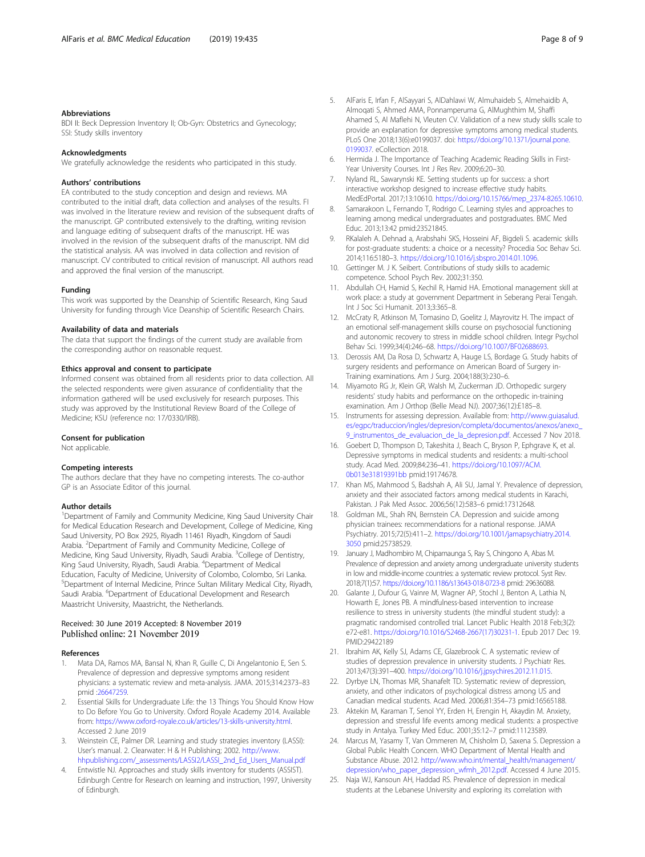#### <span id="page-7-0"></span>Abbreviations

BDI II: Beck Depression Inventory II; Ob-Gyn: Obstetrics and Gynecology; SSI: Study skills inventory

#### Acknowledgments

We gratefully acknowledge the residents who participated in this study.

#### Authors' contributions

EA contributed to the study conception and design and reviews. MA contributed to the initial draft, data collection and analyses of the results. FI was involved in the literature review and revision of the subsequent drafts of the manuscript. GP contributed extensively to the drafting, writing revision and language editing of subsequent drafts of the manuscript. HE was involved in the revision of the subsequent drafts of the manuscript. NM did the statistical analysis. AA was involved in data collection and revision of manuscript. CV contributed to critical revision of manuscript. All authors read and approved the final version of the manuscript.

#### Funding

This work was supported by the Deanship of Scientific Research, King Saud University for funding through Vice Deanship of Scientific Research Chairs.

#### Availability of data and materials

The data that support the findings of the current study are available from the corresponding author on reasonable request.

#### Ethics approval and consent to participate

Informed consent was obtained from all residents prior to data collection. All the selected respondents were given assurance of confidentiality that the information gathered will be used exclusively for research purposes. This study was approved by the Institutional Review Board of the College of Medicine; KSU (reference no: 17/0330/IRB).

#### Consent for publication

Not applicable.

#### Competing interests

The authors declare that they have no competing interests. The co-author GP is an Associate Editor of this journal.

#### Author details

<sup>1</sup>Department of Family and Community Medicine, King Saud University Chair for Medical Education Research and Development, College of Medicine, King Saud University, PO Box 2925, Riyadh 11461 Riyadh, Kingdom of Saudi Arabia. <sup>2</sup>Department of Family and Community Medicine, College of Medicine, King Saud University, Riyadh, Saudi Arabia. <sup>3</sup>College of Dentistry, King Saud University, Riyadh, Saudi Arabia. <sup>4</sup>Department of Medical Education, Faculty of Medicine, University of Colombo, Colombo, Sri Lanka. 5 Department of Internal Medicine, Prince Sultan Military Medical City, Riyadh, Saudi Arabia. <sup>6</sup>Department of Educational Development and Research Maastricht University, Maastricht, the Netherlands.

# Received: 30 June 2019 Accepted: 8 November 2019 Published online: 21 November 2019

#### References

- 1. Mata DA, Ramos MA, Bansal N, Khan R, Guille C, Di Angelantonio E, Sen S. Prevalence of depression and depressive symptoms among resident physicians: a systematic review and meta-analysis. JAMA. 2015;314:2373–83 pmid [:26647259](https://www.ncbi.nlm.nih.gov/pubmed/26647259).
- 2. Essential Skills for Undergraduate Life: the 13 Things You Should Know How to Do Before You Go to University. Oxford Royale Academy 2014. Available from: [https://www.oxford-royale.co.uk/articles/13-skills-university.html.](https://www.oxford-royale.co.uk/articles/13-skills-university.html) Accessed 2 June 2019
- 3. Weinstein CE, Palmer DR. Learning and study strategies inventory (LASSI): User's manual. 2. Clearwater: H & H Publishing; 2002. [http://www.](http://www.hhpublishing.com/_assessments/LASSI2/LASSI_2nd_Ed_Users_Manual.pdf) [hhpublishing.com/\\_assessments/LASSI2/LASSI\\_2nd\\_Ed\\_Users\\_Manual.pdf](http://www.hhpublishing.com/_assessments/LASSI2/LASSI_2nd_Ed_Users_Manual.pdf)
- 4. Entwistle NJ. Approaches and study skills inventory for students (ASSIST). Edinburgh Centre for Research on learning and instruction, 1997, University of Edinburgh.
- 5. AlFaris E, Irfan F, AlSayyari S, AlDahlawi W, Almuhaideb S, Almehaidib A, Almoqati S, Ahmed AMA, Ponnamperuma G, AlMughthim M, Shaffi Ahamed S, Al Maflehi N, Vleuten CV. Validation of a new study skills scale to provide an explanation for depressive symptoms among medical students. PLoS One 2018;13(6):e0199037. doi: [https://doi.org/10.1371/journal.pone.](https://doi.org/10.1371/journal.pone.0199037) [0199037.](https://doi.org/10.1371/journal.pone.0199037) eCollection 2018.
- 6. Hermida J. The Importance of Teaching Academic Reading Skills in First-Year University Courses. Int J Res Rev. 2009;6:20–30.
- 7. Nyland RL, Sawarynski KE. Setting students up for success: a short interactive workshop designed to increase effective study habits. MedEdPortal. 2017;13:10610. [https://doi.org/10.15766/mep\\_2374-8265.10610](https://doi.org/10.15766/mep_2374-8265.10610).
- 8. Samarakoon L, Fernando T, Rodrigo C, Learning styles and approaches to learning among medical undergraduates and postgraduates. BMC Med Educ. 2013;13:42 pmid:23521845.
- 9. RKalaleh A. Dehnad a, Arabshahi SKS, Hosseini AF, Bigdeli S. academic skills for post-graduate students: a choice or a necessity? Procedia Soc Behav Sci. 2014;116:5180–3. <https://doi.org/10.1016/j.sbspro.2014.01.1096>.
- 10. Gettinger M. J K. Seibert. Contributions of study skills to academic competence. School Psych Rev. 2002;31:350.
- 11. Abdullah CH, Hamid S, Kechil R, Hamid HA. Emotional management skill at work place: a study at government Department in Seberang Perai Tengah. Int J Soc Sci Humanit. 2013;3:365-8.
- 12. McCraty R, Atkinson M, Tomasino D, Goelitz J, Mayrovitz H. The impact of an emotional self-management skills course on psychosocial functioning and autonomic recovery to stress in middle school children. Integr Psychol Behav Sci. 1999;34(4):246–68. <https://doi.org/10.1007/BF02688693>.
- 13. Derossis AM, Da Rosa D, Schwartz A, Hauge LS, Bordage G. Study habits of surgery residents and performance on American Board of Surgery in-Training examinations. Am J Surg. 2004;188(3):230–6.
- 14. Miyamoto RG Jr, Klein GR, Walsh M, Zuckerman JD. Orthopedic surgery residents' study habits and performance on the orthopedic in-training examination. Am J Orthop (Belle Mead NJ). 2007;36(12):E185–8.
- 15. Instruments for assessing depression. Available from: [http://www.guiasalud.](http://www.guiasalud.es/egpc/traduccion/ingles/depresion/completa/documentos/anexos/anexo_9_instrumentos_de_evaluacion_de_la_depresion.pdf) [es/egpc/traduccion/ingles/depresion/completa/documentos/anexos/anexo\\_](http://www.guiasalud.es/egpc/traduccion/ingles/depresion/completa/documentos/anexos/anexo_9_instrumentos_de_evaluacion_de_la_depresion.pdf) [9\\_instrumentos\\_de\\_evaluacion\\_de\\_la\\_depresion.pdf](http://www.guiasalud.es/egpc/traduccion/ingles/depresion/completa/documentos/anexos/anexo_9_instrumentos_de_evaluacion_de_la_depresion.pdf). Accessed 7 Nov 2018.
- 16. Goebert D, Thompson D, Takeshita J, Beach C, Bryson P, Ephgrave K, et al. Depressive symptoms in medical students and residents: a multi-school study. Acad Med. 2009;84:236–41. [https://doi.org/10.1097/ACM.](https://doi.org/10.1097/ACM.0b013e31819391bb) [0b013e31819391bb](https://doi.org/10.1097/ACM.0b013e31819391bb) pmid:19174678.
- 17. Khan MS, Mahmood S, Badshah A, Ali SU, Jamal Y. Prevalence of depression, anxiety and their associated factors among medical students in Karachi, Pakistan. J Pak Med Assoc. 2006;56(12):583–6 pmid:17312648.
- 18. Goldman ML, Shah RN, Bernstein CA. Depression and suicide among physician trainees: recommendations for a national response. JAMA Psychiatry. 2015;72(5):411–2. [https://doi.org/10.1001/jamapsychiatry.2014.](https://doi.org/10.1001/jamapsychiatry.2014.3050) [3050](https://doi.org/10.1001/jamapsychiatry.2014.3050) pmid:25738529.
- 19. January J, Madhombiro M, Chipamaunga S, Ray S, Chingono A, Abas M. Prevalence of depression and anxiety among undergraduate university students in low and middle-income countries: a systematic review protocol. Syst Rev. 2018;7(1):57. <https://doi.org/10.1186/s13643-018-0723-8> pmid: 29636088.
- 20. Galante J, Dufour G, Vainre M, Wagner AP, Stochl J, Benton A, Lathia N, Howarth E, Jones PB. A mindfulness-based intervention to increase resilience to stress in university students (the mindful student study): a pragmatic randomised controlled trial. Lancet Public Health 2018 Feb;3(2): e72-e81. [https://doi.org/10.1016/S2468-2667\(17\)30231-1.](https://doi.org/10.1016/S2468-2667(17)30231-1) Epub 2017 Dec 19. PMID:29422189
- 21. Ibrahim AK, Kelly SJ, Adams CE, Glazebrook C. A systematic review of studies of depression prevalence in university students. J Psychiatr Res. 2013;47(3):391–400. [https://doi.org/10.1016/j.jpsychires.2012.11.015.](https://doi.org/10.1016/j.jpsychires.2012.11.015)
- 22. Dyrbye LN, Thomas MR, Shanafelt TD. Systematic review of depression, anxiety, and other indicators of psychological distress among US and Canadian medical students. Acad Med. 2006;81:354–73 pmid:16565188.
- 23. Aktekin M, Karaman T, Senol YY, Erden H, Erengin H, Akaydin M. Anxiety, depression and stressful life events among medical students: a prospective study in Antalya. Turkey Med Educ. 2001;35:12–7 pmid:11123589.
- 24. Marcus M, Yasamy T, Van Ommeren M, Chisholm D, Saxena S. Depression a Global Public Health Concern. WHO Department of Mental Health and Substance Abuse. 2012. [http://www.who.int/mental\\_health/management/](http://www.who.int/mental_health/management/depression/who_paper_depression_wfmh_2012.pdf) [depression/who\\_paper\\_depression\\_wfmh\\_2012.pdf](http://www.who.int/mental_health/management/depression/who_paper_depression_wfmh_2012.pdf). Accessed 4 June 2015.
- 25. Naja WJ, Kansoun AH, Haddad RS. Prevalence of depression in medical students at the Lebanese University and exploring its correlation with